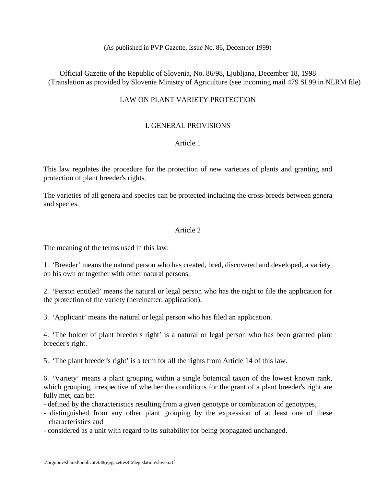(As published in PVP Gazette, Issue No. 86, December 1999)

Official Gazette of the Republic of Slovenia, No. 86/98, Ljubljana, December 18, 1998 (Translation as provided by Slovenia Ministry of Agriculture (see incoming mail 479 SI 99 in NLRM file)

# LAW ON PLANT VARIETY PROTECTION

# I. GENERAL PROVISIONS

## Article 1

This law regulates the procedure for the protection of new varieties of plants and granting and protection of plant breeder's rights.

The varieties of all genera and species can be protected including the cross-breeds between genera and species.

## Article 2

The meaning of the terms used in this law:

1. 'Breeder' means the natural person who has created, bred, discovered and developed, a variety on his own or together with other natural persons.

2. 'Person entitled' means the natural or legal person who has the right to file the application for the protection of the variety (hereinafter: application).

3. 'Applicant' means the natural or legal person who has filed an application.

4. 'The holder of plant breeder's right' is a natural or legal person who has been granted plant breeder's right.

5. 'The plant breeder's right' is a term for all the rights from Article 14 of this law.

6. 'Variety' means a plant grouping within a single botanical taxon of the lowest known rank, which grouping, irrespective of whether the conditions for the grant of a plant breeder's right are fully met, can be:

- defined by the characteristics resulting from a given genotype or combination of genotypes,

- distinguished from any other plant grouping by the expression of at least one of these characteristics and
- considered as a unit with regard to its suitability for being propagated unchanged.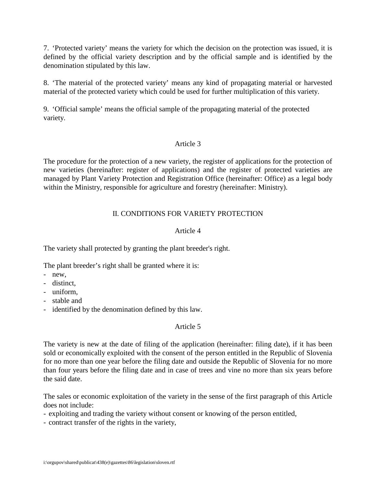7. 'Protected variety' means the variety for which the decision on the protection was issued, it is defined by the official variety description and by the official sample and is identified by the denomination stipulated by this law.

8. 'The material of the protected variety' means any kind of propagating material or harvested material of the protected variety which could be used for further multiplication of this variety.

9. 'Official sample' means the official sample of the propagating material of the protected variety.

### Article 3

The procedure for the protection of a new variety, the register of applications for the protection of new varieties (hereinafter: register of applications) and the register of protected varieties are managed by Plant Variety Protection and Registration Office (hereinafter: Office) as a legal body within the Ministry, responsible for agriculture and forestry (hereinafter: Ministry).

## II. CONDITIONS FOR VARIETY PROTECTION

### Article 4

The variety shall protected by granting the plant breeder's right.

The plant breeder's right shall be granted where it is:

- new,
- distinct,
- uniform,
- stable and
- identified by the denomination defined by this law.

## Article 5

The variety is new at the date of filing of the application (hereinafter: filing date), if it has been sold or economically exploited with the consent of the person entitled in the Republic of Slovenia for no more than one year before the filing date and outside the Republic of Slovenia for no more than four years before the filing date and in case of trees and vine no more than six years before the said date.

The sales or economic exploitation of the variety in the sense of the first paragraph of this Article does not include:

- exploiting and trading the variety without consent or knowing of the person entitled,
- contract transfer of the rights in the variety,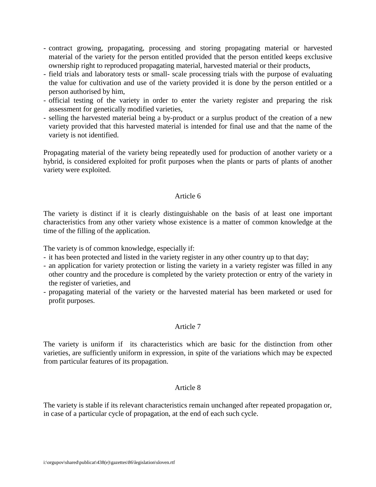- contract growing, propagating, processing and storing propagating material or harvested material of the variety for the person entitled provided that the person entitled keeps exclusive ownership right to reproduced propagating material, harvested material or their products,
- field trials and laboratory tests or small- scale processing trials with the purpose of evaluating the value for cultivation and use of the variety provided it is done by the person entitled or a person authorised by him,
- official testing of the variety in order to enter the variety register and preparing the risk assessment for genetically modified varieties,
- selling the harvested material being a by-product or a surplus product of the creation of a new variety provided that this harvested material is intended for final use and that the name of the variety is not identified.

Propagating material of the variety being repeatedly used for production of another variety or a hybrid, is considered exploited for profit purposes when the plants or parts of plants of another variety were exploited.

### Article 6

The variety is distinct if it is clearly distinguishable on the basis of at least one important characteristics from any other variety whose existence is a matter of common knowledge at the time of the filling of the application.

The variety is of common knowledge, especially if:

- it has been protected and listed in the variety register in any other country up to that day;
- an application for variety protection or listing the variety in a variety register was filled in any other country and the procedure is completed by the variety protection or entry of the variety in the register of varieties, and
- propagating material of the variety or the harvested material has been marketed or used for profit purposes.

## Article 7

The variety is uniform if its characteristics which are basic for the distinction from other varieties, are sufficiently uniform in expression, in spite of the variations which may be expected from particular features of its propagation.

#### Article 8

The variety is stable if its relevant characteristics remain unchanged after repeated propagation or, in case of a particular cycle of propagation, at the end of each such cycle.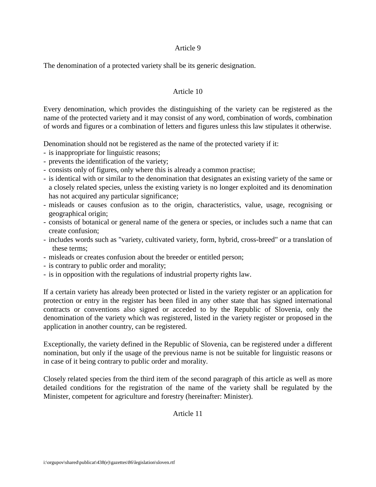The denomination of a protected variety shall be its generic designation.

#### Article 10

Every denomination, which provides the distinguishing of the variety can be registered as the name of the protected variety and it may consist of any word, combination of words, combination of words and figures or a combination of letters and figures unless this law stipulates it otherwise.

Denomination should not be registered as the name of the protected variety if it:

- is inappropriate for linguistic reasons;
- prevents the identification of the variety;
- consists only of figures, only where this is already a common practise;
- is identical with or similar to the denomination that designates an existing variety of the same or a closely related species, unless the existing variety is no longer exploited and its denomination has not acquired any particular significance;
- misleads or causes confusion as to the origin, characteristics, value, usage, recognising or geographical origin;
- consists of botanical or general name of the genera or species, or includes such a name that can create confusion;
- includes words such as "variety, cultivated variety, form, hybrid, cross-breed" or a translation of these terms;
- misleads or creates confusion about the breeder or entitled person;
- is contrary to public order and morality;
- is in opposition with the regulations of industrial property rights law.

If a certain variety has already been protected or listed in the variety register or an application for protection or entry in the register has been filed in any other state that has signed international contracts or conventions also signed or acceded to by the Republic of Slovenia, only the denomination of the variety which was registered, listed in the variety register or proposed in the application in another country, can be registered.

Exceptionally, the variety defined in the Republic of Slovenia, can be registered under a different nomination, but only if the usage of the previous name is not be suitable for linguistic reasons or in case of it being contrary to public order and morality.

Closely related species from the third item of the second paragraph of this article as well as more detailed conditions for the registration of the name of the variety shall be regulated by the Minister, competent for agriculture and forestry (hereinafter: Minister).

Article 11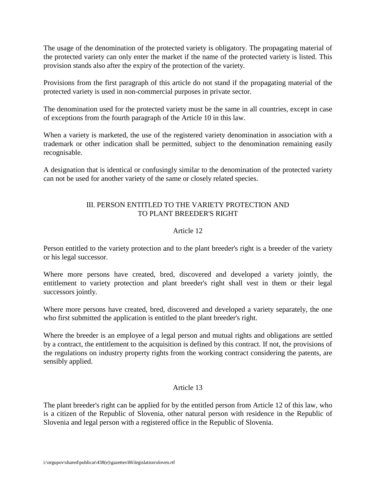The usage of the denomination of the protected variety is obligatory. The propagating material of the protected variety can only enter the market if the name of the protected variety is listed. This provision stands also after the expiry of the protection of the variety.

Provisions from the first paragraph of this article do not stand if the propagating material of the protected variety is used in non-commercial purposes in private sector.

The denomination used for the protected variety must be the same in all countries, except in case of exceptions from the fourth paragraph of the Article 10 in this law.

When a variety is marketed, the use of the registered variety denomination in association with a trademark or other indication shall be permitted, subject to the denomination remaining easily recognisable.

A designation that is identical or confusingly similar to the denomination of the protected variety can not be used for another variety of the same or closely related species.

# III. PERSON ENTITLED TO THE VARIETY PROTECTION AND TO PLANT BREEDER'S RIGHT

## Article 12

Person entitled to the variety protection and to the plant breeder's right is a breeder of the variety or his legal successor.

Where more persons have created, bred, discovered and developed a variety jointly, the entitlement to variety protection and plant breeder's right shall vest in them or their legal successors jointly.

Where more persons have created, bred, discovered and developed a variety separately, the one who first submitted the application is entitled to the plant breeder's right.

Where the breeder is an employee of a legal person and mutual rights and obligations are settled by a contract, the entitlement to the acquisition is defined by this contract. If not, the provisions of the regulations on industry property rights from the working contract considering the patents, are sensibly applied.

## Article 13

The plant breeder's right can be applied for by the entitled person from Article 12 of this law, who is a citizen of the Republic of Slovenia, other natural person with residence in the Republic of Slovenia and legal person with a registered office in the Republic of Slovenia.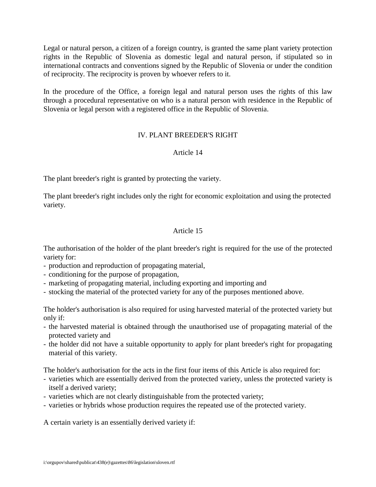Legal or natural person, a citizen of a foreign country, is granted the same plant variety protection rights in the Republic of Slovenia as domestic legal and natural person, if stipulated so in international contracts and conventions signed by the Republic of Slovenia or under the condition of reciprocity. The reciprocity is proven by whoever refers to it.

In the procedure of the Office, a foreign legal and natural person uses the rights of this law through a procedural representative on who is a natural person with residence in the Republic of Slovenia or legal person with a registered office in the Republic of Slovenia.

## IV. PLANT BREEDER'S RIGHT

### Article 14

The plant breeder's right is granted by protecting the variety.

The plant breeder's right includes only the right for economic exploitation and using the protected variety.

### Article 15

The authorisation of the holder of the plant breeder's right is required for the use of the protected variety for:

- production and reproduction of propagating material,
- conditioning for the purpose of propagation,
- marketing of propagating material, including exporting and importing and
- stocking the material of the protected variety for any of the purposes mentioned above.

The holder's authorisation is also required for using harvested material of the protected variety but only if:

- the harvested material is obtained through the unauthorised use of propagating material of the protected variety and
- the holder did not have a suitable opportunity to apply for plant breeder's right for propagating material of this variety.

The holder's authorisation for the acts in the first four items of this Article is also required for:

- varieties which are essentially derived from the protected variety, unless the protected variety is itself a derived variety;
- varieties which are not clearly distinguishable from the protected variety;
- varieties or hybrids whose production requires the repeated use of the protected variety.

A certain variety is an essentially derived variety if: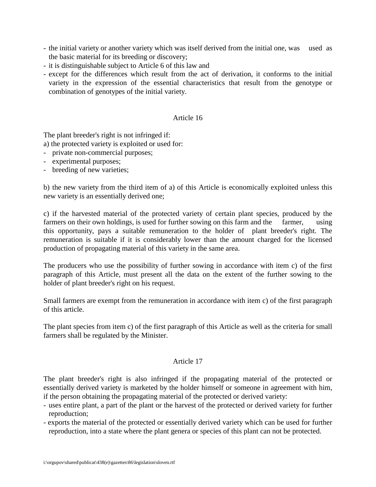- the initial variety or another variety which was itself derived from the initial one, was used as the basic material for its breeding or discovery;
- it is distinguishable subject to Article 6 of this law and
- except for the differences which result from the act of derivation, it conforms to the initial variety in the expression of the essential characteristics that result from the genotype or combination of genotypes of the initial variety.

The plant breeder's right is not infringed if:

a) the protected variety is exploited or used for:

- private non-commercial purposes;
- experimental purposes;
- breeding of new varieties;

b) the new variety from the third item of a) of this Article is economically exploited unless this new variety is an essentially derived one;

c) if the harvested material of the protected variety of certain plant species, produced by the farmers on their own holdings, is used for further sowing on this farm and the farmer, using this opportunity, pays a suitable remuneration to the holder of plant breeder's right. The remuneration is suitable if it is considerably lower than the amount charged for the licensed production of propagating material of this variety in the same area.

The producers who use the possibility of further sowing in accordance with item c) of the first paragraph of this Article, must present all the data on the extent of the further sowing to the holder of plant breeder's right on his request.

Small farmers are exempt from the remuneration in accordance with item c) of the first paragraph of this article.

The plant species from item c) of the first paragraph of this Article as well as the criteria for small farmers shall be regulated by the Minister.

#### Article 17

The plant breeder's right is also infringed if the propagating material of the protected or essentially derived variety is marketed by the holder himself or someone in agreement with him, if the person obtaining the propagating material of the protected or derived variety:

- uses entire plant, a part of the plant or the harvest of the protected or derived variety for further reproduction;
- exports the material of the protected or essentially derived variety which can be used for further reproduction, into a state where the plant genera or species of this plant can not be protected.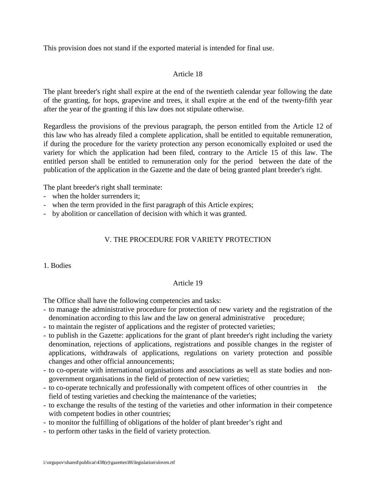This provision does not stand if the exported material is intended for final use.

## Article 18

The plant breeder's right shall expire at the end of the twentieth calendar year following the date of the granting, for hops, grapevine and trees, it shall expire at the end of the twenty-fifth year after the year of the granting if this law does not stipulate otherwise.

Regardless the provisions of the previous paragraph, the person entitled from the Article 12 of this law who has already filed a complete application, shall be entitled to equitable remuneration, if during the procedure for the variety protection any person economically exploited or used the variety for which the application had been filed, contrary to the Article 15 of this law. The entitled person shall be entitled to remuneration only for the period between the date of the publication of the application in the Gazette and the date of being granted plant breeder's right.

The plant breeder's right shall terminate:

- when the holder surrenders it;
- when the term provided in the first paragraph of this Article expires;
- by abolition or cancellation of decision with which it was granted.

## V. THE PROCEDURE FOR VARIETY PROTECTION

1. Bodies

## Article 19

The Office shall have the following competencies and tasks:

- to manage the administrative procedure for protection of new variety and the registration of the denomination according to this law and the law on general administrative procedure;
- to maintain the register of applications and the register of protected varieties;
- to publish in the Gazette: applications for the grant of plant breeder's right including the variety denomination, rejections of applications, registrations and possible changes in the register of applications, withdrawals of applications, regulations on variety protection and possible changes and other official announcements;
- to co-operate with international organisations and associations as well as state bodies and nongovernment organisations in the field of protection of new varieties;
- to co-operate technically and professionally with competent offices of other countries in the field of testing varieties and checking the maintenance of the varieties;
- to exchange the results of the testing of the varieties and other information in their competence with competent bodies in other countries;
- to monitor the fulfilling of obligations of the holder of plant breeder's right and
- to perform other tasks in the field of variety protection.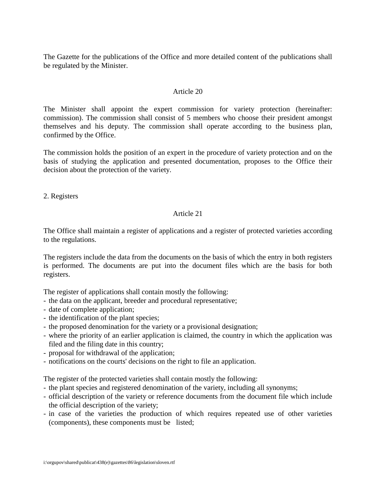The Gazette for the publications of the Office and more detailed content of the publications shall be regulated by the Minister.

#### Article 20

The Minister shall appoint the expert commission for variety protection (hereinafter: commission). The commission shall consist of 5 members who choose their president amongst themselves and his deputy. The commission shall operate according to the business plan, confirmed by the Office.

The commission holds the position of an expert in the procedure of variety protection and on the basis of studying the application and presented documentation, proposes to the Office their decision about the protection of the variety.

2. Registers

#### Article 21

The Office shall maintain a register of applications and a register of protected varieties according to the regulations.

The registers include the data from the documents on the basis of which the entry in both registers is performed. The documents are put into the document files which are the basis for both registers.

The register of applications shall contain mostly the following:

- the data on the applicant, breeder and procedural representative;
- date of complete application;
- the identification of the plant species;
- the proposed denomination for the variety or a provisional designation;
- where the priority of an earlier application is claimed, the country in which the application was filed and the filing date in this country;
- proposal for withdrawal of the application;
- notifications on the courts' decisions on the right to file an application.

The register of the protected varieties shall contain mostly the following:

- the plant species and registered denomination of the variety, including all synonyms;
- official description of the variety or reference documents from the document file which include the official description of the variety;
- in case of the varieties the production of which requires repeated use of other varieties (components), these components must be listed;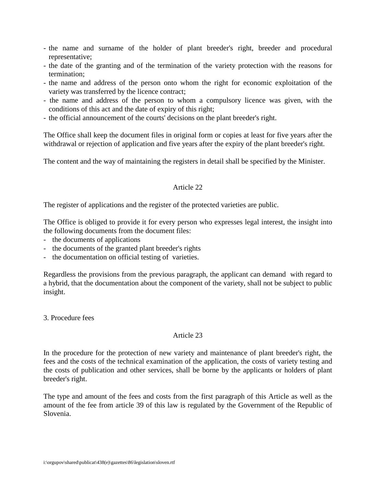- the name and surname of the holder of plant breeder's right, breeder and procedural representative;
- the date of the granting and of the termination of the variety protection with the reasons for termination;
- the name and address of the person onto whom the right for economic exploitation of the variety was transferred by the licence contract;
- the name and address of the person to whom a compulsory licence was given, with the conditions of this act and the date of expiry of this right;
- the official announcement of the courts' decisions on the plant breeder's right.

The Office shall keep the document files in original form or copies at least for five years after the withdrawal or rejection of application and five years after the expiry of the plant breeder's right.

The content and the way of maintaining the registers in detail shall be specified by the Minister.

## Article 22

The register of applications and the register of the protected varieties are public.

The Office is obliged to provide it for every person who expresses legal interest, the insight into the following documents from the document files:

- the documents of applications
- the documents of the granted plant breeder's rights
- the documentation on official testing of varieties.

Regardless the provisions from the previous paragraph, the applicant can demand with regard to a hybrid, that the documentation about the component of the variety, shall not be subject to public insight.

3. Procedure fees

## Article 23

In the procedure for the protection of new variety and maintenance of plant breeder's right, the fees and the costs of the technical examination of the application, the costs of variety testing and the costs of publication and other services, shall be borne by the applicants or holders of plant breeder's right.

The type and amount of the fees and costs from the first paragraph of this Article as well as the amount of the fee from article 39 of this law is regulated by the Government of the Republic of Slovenia.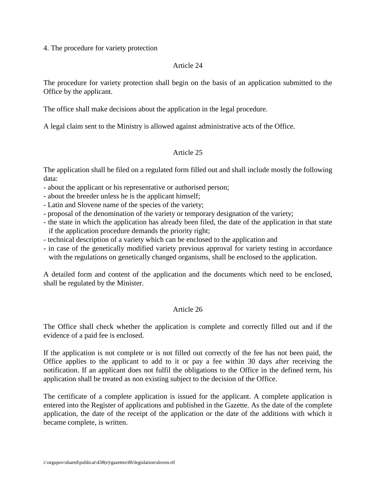4. The procedure for variety protection

#### Article 24

The procedure for variety protection shall begin on the basis of an application submitted to the Office by the applicant.

The office shall make decisions about the application in the legal procedure.

A legal claim sent to the Ministry is allowed against administrative acts of the Office.

## Article 25

The application shall be filed on a regulated form filled out and shall include mostly the following data:

- about the applicant or his representative or authorised person;
- about the breeder unless he is the applicant himself;
- Latin and Slovene name of the species of the variety;
- proposal of the denomination of the variety or temporary designation of the variety;
- the state in which the application has already been filed, the date of the application in that state if the application procedure demands the priority right;
- technical description of a variety which can be enclosed to the application and
- in case of the genetically modified variety previous approval for variety testing in accordance with the regulations on genetically changed organisms, shall be enclosed to the application.

A detailed form and content of the application and the documents which need to be enclosed, shall be regulated by the Minister.

## Article 26

The Office shall check whether the application is complete and correctly filled out and if the evidence of a paid fee is enclosed.

If the application is not complete or is not filled out correctly of the fee has not been paid, the Office applies to the applicant to add to it or pay a fee within 30 days after receiving the notification. If an applicant does not fulfil the obligations to the Office in the defined term, his application shall be treated as non existing subject to the decision of the Office.

The certificate of a complete application is issued for the applicant. A complete application is entered into the Register of applications and published in the Gazette. As the date of the complete application, the date of the receipt of the application or the date of the additions with which it became complete, is written.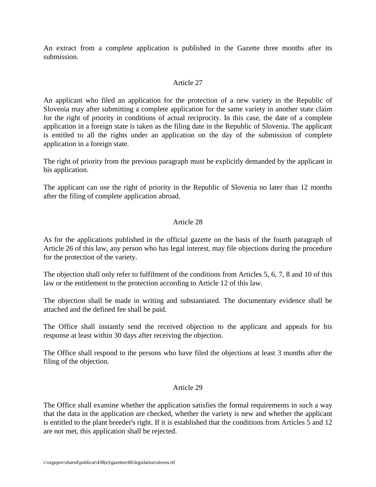An extract from a complete application is published in the Gazette three months after its submission.

### Article 27

An applicant who filed an application for the protection of a new variety in the Republic of Slovenia may after submitting a complete application for the same variety in another state claim for the right of priority in conditions of actual reciprocity. In this case, the date of a complete application in a foreign state is taken as the filing date in the Republic of Slovenia. The applicant is entitled to all the rights under an application on the day of the submission of complete application in a foreign state.

The right of priority from the previous paragraph must be explicitly demanded by the applicant in his application.

The applicant can use the right of priority in the Republic of Slovenia no later than 12 months after the filing of complete application abroad.

### Article 28

As for the applications published in the official gazette on the basis of the fourth paragraph of Article 26 of this law, any person who has legal interest, may file objections during the procedure for the protection of the variety.

The objection shall only refer to fulfilment of the conditions from Articles 5, 6, 7, 8 and 10 of this law or the entitlement to the protection according to Article 12 of this law.

The objection shall be made in writing and substantiated. The documentary evidence shall be attached and the defined fee shall be paid.

The Office shall instantly send the received objection to the applicant and appeals for his response at least within 30 days after receiving the objection.

The Office shall respond to the persons who have filed the objections at least 3 months after the filing of the objection.

#### Article 29

The Office shall examine whether the application satisfies the formal requirements in such a way that the data in the application are checked, whether the variety is new and whether the applicant is entitled to the plant breeder's right. If it is established that the conditions from Articles 5 and 12 are not met, this application shall be rejected.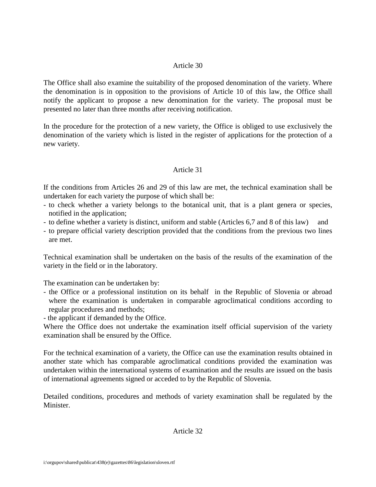The Office shall also examine the suitability of the proposed denomination of the variety. Where the denomination is in opposition to the provisions of Article 10 of this law, the Office shall notify the applicant to propose a new denomination for the variety. The proposal must be presented no later than three months after receiving notification.

In the procedure for the protection of a new variety, the Office is obliged to use exclusively the denomination of the variety which is listed in the register of applications for the protection of a new variety.

### Article 31

If the conditions from Articles 26 and 29 of this law are met, the technical examination shall be undertaken for each variety the purpose of which shall be:

- to check whether a variety belongs to the botanical unit, that is a plant genera or species, notified in the application;
- to define whether a variety is distinct, uniform and stable (Articles 6,7 and 8 of this law) and
- to prepare official variety description provided that the conditions from the previous two lines are met.

Technical examination shall be undertaken on the basis of the results of the examination of the variety in the field or in the laboratory.

The examination can be undertaken by:

- the Office or a professional institution on its behalf in the Republic of Slovenia or abroad where the examination is undertaken in comparable agroclimatical conditions according to regular procedures and methods;
- the applicant if demanded by the Office.

Where the Office does not undertake the examination itself official supervision of the variety examination shall be ensured by the Office.

For the technical examination of a variety, the Office can use the examination results obtained in another state which has comparable agroclimatical conditions provided the examination was undertaken within the international systems of examination and the results are issued on the basis of international agreements signed or acceded to by the Republic of Slovenia.

Detailed conditions, procedures and methods of variety examination shall be regulated by the Minister.

Article 32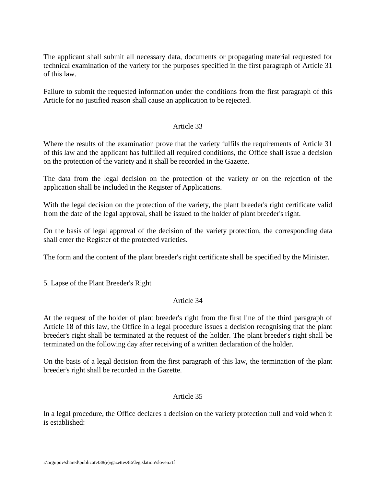The applicant shall submit all necessary data, documents or propagating material requested for technical examination of the variety for the purposes specified in the first paragraph of Article 31 of this law.

Failure to submit the requested information under the conditions from the first paragraph of this Article for no justified reason shall cause an application to be rejected.

## Article 33

Where the results of the examination prove that the variety fulfils the requirements of Article 31 of this law and the applicant has fulfilled all required conditions, the Office shall issue a decision on the protection of the variety and it shall be recorded in the Gazette.

The data from the legal decision on the protection of the variety or on the rejection of the application shall be included in the Register of Applications.

With the legal decision on the protection of the variety, the plant breeder's right certificate valid from the date of the legal approval, shall be issued to the holder of plant breeder's right.

On the basis of legal approval of the decision of the variety protection, the corresponding data shall enter the Register of the protected varieties.

The form and the content of the plant breeder's right certificate shall be specified by the Minister.

5. Lapse of the Plant Breeder's Right

## Article 34

At the request of the holder of plant breeder's right from the first line of the third paragraph of Article 18 of this law, the Office in a legal procedure issues a decision recognising that the plant breeder's right shall be terminated at the request of the holder. The plant breeder's right shall be terminated on the following day after receiving of a written declaration of the holder.

On the basis of a legal decision from the first paragraph of this law, the termination of the plant breeder's right shall be recorded in the Gazette.

## Article 35

In a legal procedure, the Office declares a decision on the variety protection null and void when it is established: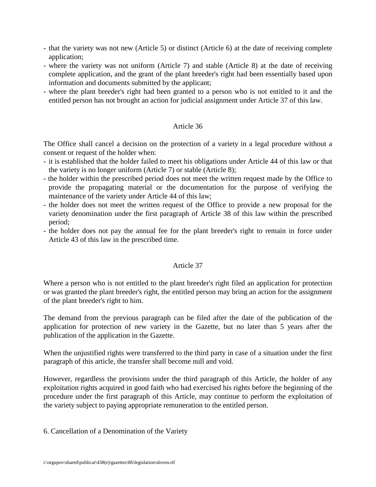- that the variety was not new (Article 5) or distinct (Article 6) at the date of receiving complete application;
- where the variety was not uniform (Article 7) and stable (Article 8) at the date of receiving complete application, and the grant of the plant breeder's right had been essentially based upon information and documents submitted by the applicant;
- where the plant breeder's right had been granted to a person who is not entitled to it and the entitled person has not brought an action for judicial assignment under Article 37 of this law.

The Office shall cancel a decision on the protection of a variety in a legal procedure without a consent or request of the holder when:

- it is established that the holder failed to meet his obligations under Article 44 of this law or that the variety is no longer uniform (Article 7) or stable (Article 8);
- the holder within the prescribed period does not meet the written request made by the Office to provide the propagating material or the documentation for the purpose of verifying the maintenance of the variety under Article 44 of this law;
- the holder does not meet the written request of the Office to provide a new proposal for the variety denomination under the first paragraph of Article 38 of this law within the prescribed period;
- the holder does not pay the annual fee for the plant breeder's right to remain in force under Article 43 of this law in the prescribed time.

## Article 37

Where a person who is not entitled to the plant breeder's right filed an application for protection or was granted the plant breeder's right, the entitled person may bring an action for the assignment of the plant breeder's right to him.

The demand from the previous paragraph can be filed after the date of the publication of the application for protection of new variety in the Gazette, but no later than 5 years after the publication of the application in the Gazette.

When the unjustified rights were transferred to the third party in case of a situation under the first paragraph of this article, the transfer shall become null and void.

However, regardless the provisions under the third paragraph of this Article, the holder of any exploitation rights acquired in good faith who had exercised his rights before the beginning of the procedure under the first paragraph of this Article, may continue to perform the exploitation of the variety subject to paying appropriate remuneration to the entitled person.

6. Cancellation of a Denomination of the Variety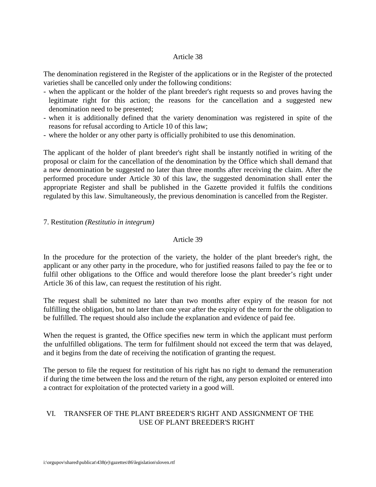The denomination registered in the Register of the applications or in the Register of the protected varieties shall be cancelled only under the following conditions:

- when the applicant or the holder of the plant breeder's right requests so and proves having the legitimate right for this action; the reasons for the cancellation and a suggested new denomination need to be presented;
- when it is additionally defined that the variety denomination was registered in spite of the reasons for refusal according to Article 10 of this law;
- where the holder or any other party is officially prohibited to use this denomination.

The applicant of the holder of plant breeder's right shall be instantly notified in writing of the proposal or claim for the cancellation of the denomination by the Office which shall demand that a new denomination be suggested no later than three months after receiving the claim. After the performed procedure under Article 30 of this law, the suggested denomination shall enter the appropriate Register and shall be published in the Gazette provided it fulfils the conditions regulated by this law. Simultaneously, the previous denomination is cancelled from the Register.

### 7. Restitution *(Restitutio in integrum)*

## Article 39

In the procedure for the protection of the variety, the holder of the plant breeder's right, the applicant or any other party in the procedure, who for justified reasons failed to pay the fee or to fulfil other obligations to the Office and would therefore loose the plant breeder's right under Article 36 of this law, can request the restitution of his right.

The request shall be submitted no later than two months after expiry of the reason for not fulfilling the obligation, but no later than one year after the expiry of the term for the obligation to be fulfilled. The request should also include the explanation and evidence of paid fee.

When the request is granted, the Office specifies new term in which the applicant must perform the unfulfilled obligations. The term for fulfilment should not exceed the term that was delayed, and it begins from the date of receiving the notification of granting the request.

The person to file the request for restitution of his right has no right to demand the remuneration if during the time between the loss and the return of the right, any person exploited or entered into a contract for exploitation of the protected variety in a good will.

# VI. TRANSFER OF THE PLANT BREEDER'S RIGHT AND ASSIGNMENT OF THE USE OF PLANT BREEDER'S RIGHT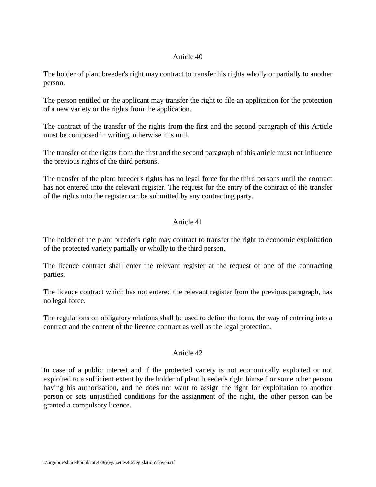The holder of plant breeder's right may contract to transfer his rights wholly or partially to another person.

The person entitled or the applicant may transfer the right to file an application for the protection of a new variety or the rights from the application.

The contract of the transfer of the rights from the first and the second paragraph of this Article must be composed in writing, otherwise it is null.

The transfer of the rights from the first and the second paragraph of this article must not influence the previous rights of the third persons.

The transfer of the plant breeder's rights has no legal force for the third persons until the contract has not entered into the relevant register. The request for the entry of the contract of the transfer of the rights into the register can be submitted by any contracting party.

## Article 41

The holder of the plant breeder's right may contract to transfer the right to economic exploitation of the protected variety partially or wholly to the third person.

The licence contract shall enter the relevant register at the request of one of the contracting parties.

The licence contract which has not entered the relevant register from the previous paragraph, has no legal force.

The regulations on obligatory relations shall be used to define the form, the way of entering into a contract and the content of the licence contract as well as the legal protection.

## Article 42

In case of a public interest and if the protected variety is not economically exploited or not exploited to a sufficient extent by the holder of plant breeder's right himself or some other person having his authorisation, and he does not want to assign the right for exploitation to another person or sets unjustified conditions for the assignment of the right, the other person can be granted a compulsory licence.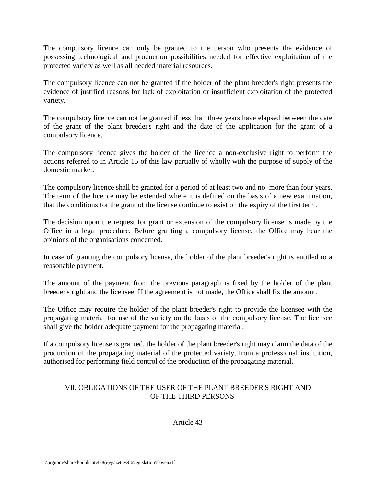The compulsory licence can only be granted to the person who presents the evidence of possessing technological and production possibilities needed for effective exploitation of the protected variety as well as all needed material resources.

The compulsory licence can not be granted if the holder of the plant breeder's right presents the evidence of justified reasons for lack of exploitation or insufficient exploitation of the protected variety.

The compulsory licence can not be granted if less than three years have elapsed between the date of the grant of the plant breeder's right and the date of the application for the grant of a compulsory licence.

The compulsory licence gives the holder of the licence a non-exclusive right to perform the actions referred to in Article 15 of this law partially of wholly with the purpose of supply of the domestic market.

The compulsory licence shall be granted for a period of at least two and no more than four years. The term of the licence may be extended where it is defined on the basis of a new examination, that the conditions for the grant of the license continue to exist on the expiry of the first term.

The decision upon the request for grant or extension of the compulsory license is made by the Office in a legal procedure. Before granting a compulsory license, the Office may hear the opinions of the organisations concerned.

In case of granting the compulsory license, the holder of the plant breeder's right is entitled to a reasonable payment.

The amount of the payment from the previous paragraph is fixed by the holder of the plant breeder's right and the licensee. If the agreement is not made, the Office shall fix the amount.

The Office may require the holder of the plant breeder's right to provide the licensee with the propagating material for use of the variety on the basis of the compulsory license. The licensee shall give the holder adequate payment for the propagating material.

If a compulsory license is granted, the holder of the plant breeder's right may claim the data of the production of the propagating material of the protected variety, from a professional institution, authorised for performing field control of the production of the propagating material.

# VII. OBLIGATIONS OF THE USER OF THE PLANT BREEDER'S RIGHT AND OF THE THIRD PERSONS

Article 43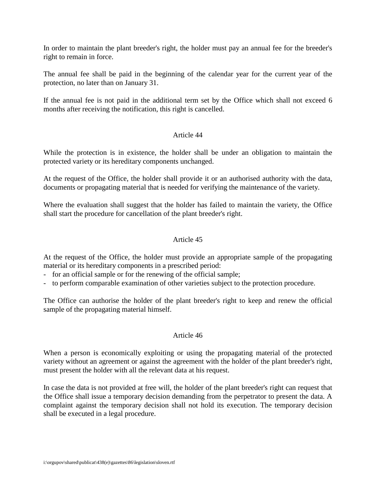In order to maintain the plant breeder's right, the holder must pay an annual fee for the breeder's right to remain in force.

The annual fee shall be paid in the beginning of the calendar year for the current year of the protection, no later than on January 31.

If the annual fee is not paid in the additional term set by the Office which shall not exceed 6 months after receiving the notification, this right is cancelled.

## Article 44

While the protection is in existence, the holder shall be under an obligation to maintain the protected variety or its hereditary components unchanged.

At the request of the Office, the holder shall provide it or an authorised authority with the data, documents or propagating material that is needed for verifying the maintenance of the variety.

Where the evaluation shall suggest that the holder has failed to maintain the variety, the Office shall start the procedure for cancellation of the plant breeder's right.

# Article 45

At the request of the Office, the holder must provide an appropriate sample of the propagating material or its hereditary components in a prescribed period:

- for an official sample or for the renewing of the official sample;
- to perform comparable examination of other varieties subject to the protection procedure.

The Office can authorise the holder of the plant breeder's right to keep and renew the official sample of the propagating material himself.

#### Article 46

When a person is economically exploiting or using the propagating material of the protected variety without an agreement or against the agreement with the holder of the plant breeder's right, must present the holder with all the relevant data at his request.

In case the data is not provided at free will, the holder of the plant breeder's right can request that the Office shall issue a temporary decision demanding from the perpetrator to present the data. A complaint against the temporary decision shall not hold its execution. The temporary decision shall be executed in a legal procedure.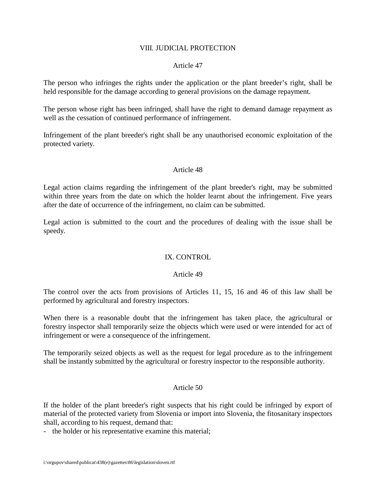#### VIII. JUDICIAL PROTECTION

### Article 47

The person who infringes the rights under the application or the plant breeder's right, shall be held responsible for the damage according to general provisions on the damage repayment.

The person whose right has been infringed, shall have the right to demand damage repayment as well as the cessation of continued performance of infringement.

Infringement of the plant breeder's right shall be any unauthorised economic exploitation of the protected variety.

#### Article 48

Legal action claims regarding the infringement of the plant breeder's right, may be submitted within three years from the date on which the holder learnt about the infringement. Five years after the date of occurrence of the infringement, no claim can be submitted.

Legal action is submitted to the court and the procedures of dealing with the issue shall be speedy.

## IX. CONTROL

#### Article 49

The control over the acts from provisions of Articles 11, 15, 16 and 46 of this law shall be performed by agricultural and forestry inspectors.

When there is a reasonable doubt that the infringement has taken place, the agricultural or forestry inspector shall temporarily seize the objects which were used or were intended for act of infringement or were a consequence of the infringement.

The temporarily seized objects as well as the request for legal procedure as to the infringement shall be instantly submitted by the agricultural or forestry inspector to the responsible authority.

#### Article 50

If the holder of the plant breeder's right suspects that his right could be infringed by export of material of the protected variety from Slovenia or import into Slovenia, the fitosanitary inspectors shall, according to his request, demand that:

- the holder or his representative examine this material;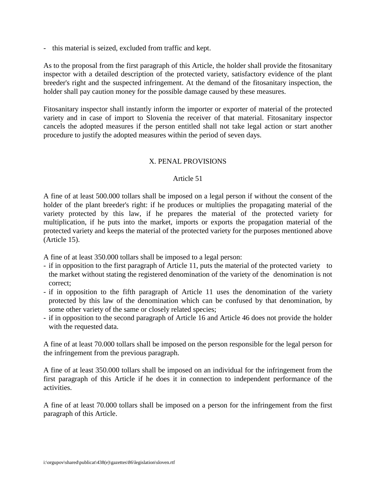- this material is seized, excluded from traffic and kept.

As to the proposal from the first paragraph of this Article, the holder shall provide the fitosanitary inspector with a detailed description of the protected variety, satisfactory evidence of the plant breeder's right and the suspected infringement. At the demand of the fitosanitary inspection, the holder shall pay caution money for the possible damage caused by these measures.

Fitosanitary inspector shall instantly inform the importer or exporter of material of the protected variety and in case of import to Slovenia the receiver of that material. Fitosanitary inspector cancels the adopted measures if the person entitled shall not take legal action or start another procedure to justify the adopted measures within the period of seven days.

### X. PENAL PROVISIONS

#### Article 51

A fine of at least 500.000 tollars shall be imposed on a legal person if without the consent of the holder of the plant breeder's right: if he produces or multiplies the propagating material of the variety protected by this law, if he prepares the material of the protected variety for multiplication, if he puts into the market, imports or exports the propagation material of the protected variety and keeps the material of the protected variety for the purposes mentioned above (Article 15).

A fine of at least 350.000 tollars shall be imposed to a legal person:

- if in opposition to the first paragraph of Article 11, puts the material of the protected variety to the market without stating the registered denomination of the variety of the denomination is not correct;
- if in opposition to the fifth paragraph of Article 11 uses the denomination of the variety protected by this law of the denomination which can be confused by that denomination, by some other variety of the same or closely related species;
- if in opposition to the second paragraph of Article 16 and Article 46 does not provide the holder with the requested data.

A fine of at least 70.000 tollars shall be imposed on the person responsible for the legal person for the infringement from the previous paragraph.

A fine of at least 350.000 tollars shall be imposed on an individual for the infringement from the first paragraph of this Article if he does it in connection to independent performance of the activities.

A fine of at least 70.000 tollars shall be imposed on a person for the infringement from the first paragraph of this Article.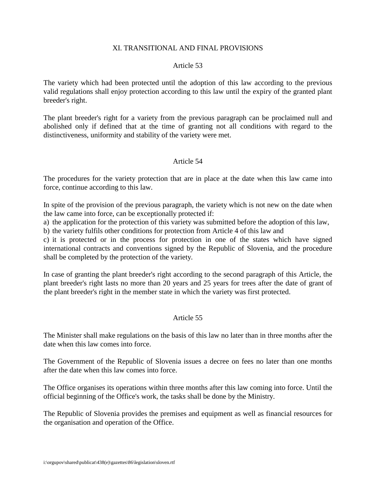#### XI. TRANSITIONAL AND FINAL PROVISIONS

### Article 53

The variety which had been protected until the adoption of this law according to the previous valid regulations shall enjoy protection according to this law until the expiry of the granted plant breeder's right.

The plant breeder's right for a variety from the previous paragraph can be proclaimed null and abolished only if defined that at the time of granting not all conditions with regard to the distinctiveness, uniformity and stability of the variety were met.

### Article 54

The procedures for the variety protection that are in place at the date when this law came into force, continue according to this law.

In spite of the provision of the previous paragraph, the variety which is not new on the date when the law came into force, can be exceptionally protected if:

a) the application for the protection of this variety was submitted before the adoption of this law, b) the variety fulfils other conditions for protection from Article 4 of this law and

c) it is protected or in the process for protection in one of the states which have signed international contracts and conventions signed by the Republic of Slovenia, and the procedure shall be completed by the protection of the variety.

In case of granting the plant breeder's right according to the second paragraph of this Article, the plant breeder's right lasts no more than 20 years and 25 years for trees after the date of grant of the plant breeder's right in the member state in which the variety was first protected.

## Article 55

The Minister shall make regulations on the basis of this law no later than in three months after the date when this law comes into force.

The Government of the Republic of Slovenia issues a decree on fees no later than one months after the date when this law comes into force.

The Office organises its operations within three months after this law coming into force. Until the official beginning of the Office's work, the tasks shall be done by the Ministry.

The Republic of Slovenia provides the premises and equipment as well as financial resources for the organisation and operation of the Office.